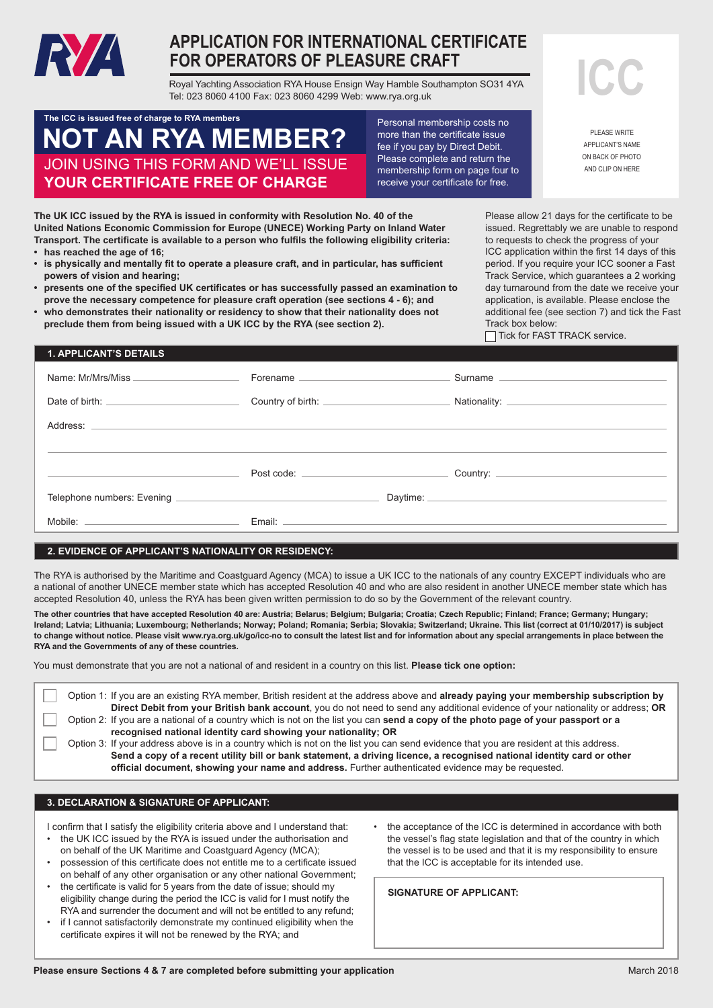

# **APPLICATION FOR INTERNATIONAL CERTIFICATE FOR OPERATORS OF PLEASURE CRAFT**

Royal Yachting Association RYA House Ensign Way Hamble Southampton SO31 4YA Tel: 023 8060 4100 Fax: 023 8060 4299 Web: www.rya.org.uk

# **NOT NOT AN RYA MEMBER?** JOIN USING THIS FORM AND WE'LL ISSUE **YOUR CERTIFICATE FREE OF CHARGE The ICC is issued free of charge to RYA members**

Personal membership costs no more than the certificate issue fee if you pay by Direct Debit. Please complete and return the membership form on page four to receive your certificate for free.

**ICC**

PLEASE WRITE APPLICANT'S NAME ON BACK OF PHOTO AND CLIP ON HERE

**The UK ICC issued by the RYA is issued in conformity with Resolution No. 40 of the United Nations Economic Commission for Europe (UNECE) Working Party on Inland Water Transport. The certificate is available to a person who fulfils the following eligibility criteria: • has reached the age of 16;**

- **• is physically and mentally fit to operate a pleasure craft, and in particular, has sufficient powers of vision and hearing;**
- **• presents one of the specified UK certificates or has successfully passed an examination to prove the necessary competence for pleasure craft operation (see sections 4 - 6); and**
- **• who demonstrates their nationality or residency to show that their nationality does not preclude them from being issued with a UK ICC by the RYA (see section 2).**

Please allow 21 days for the certificate to be issued. Regrettably we are unable to respond to requests to check the progress of your ICC application within the first 14 days of this period. If you require your ICC sooner a Fast Track Service, which guarantees a 2 working day turnaround from the date we receive your application, is available. Please enclose the additional fee (see section 7) and tick the Fast Track box below:

Tick for FAST TRACK service.

## **1. APPLICANT'S DETAILS**

| Forename | Surname experience and the series of the series of the series of the series of the series of the series of the |
|----------|----------------------------------------------------------------------------------------------------------------|
|          |                                                                                                                |
|          |                                                                                                                |
|          |                                                                                                                |
|          |                                                                                                                |
|          |                                                                                                                |
|          |                                                                                                                |

## **2. EVIDENCE OF APPLICANT'S NATIONALITY OR RESIDENCY:**

The RYA is authorised by the Maritime and Coastguard Agency (MCA) to issue a UK ICC to the nationals of any country EXCEPT individuals who are a national of another UNECE member state which has accepted Resolution 40 and who are also resident in another UNECE member state which has accepted Resolution 40, unless the RYA has been given written permission to do so by the Government of the relevant country.

The other countries that have accepted Resolution 40 are: Austria; belarus; beigium; bulgana; croatia; czech Republic; Finland; France; Germany; Hungary;<br>Ireland; Latvia; Lithuania; Luxembourg; Netherlands; Norway; Poland; n canni, Latvia, Luxennoving, recent lang, itorag, itoralis, recent lateral or covaria, orientalis, on any content<br>As showns without notice. Diseasural www.masers whiles its a sensult the lateral international culture and to change without notice. Please visit www.rya.org.uk/go/icc-no to consult the latest list and for information about any special arrangements in place between the<br>PYA and the Governments of any of these countries **The other countries that have accepted Resolution 40 are: Austria; Belarus; Belgium; Bulgaria; Croatia; Czech Republic; Finland; France; Germany; Hungary; RYA and the Governments of any of these countries.**

You must demonstrate that you are not a national of and resident in a country on this list. **Please tick one option:**

| Option 1: If you are an existing RYA member, British resident at the address above and already paying your membership subscription by |
|---------------------------------------------------------------------------------------------------------------------------------------|
| Direct Debit from your British bank account, you do not need to send any additional evidence of your nationality or address; OR       |
| Option 2: If you are a national of a country which is not on the list you can send a copy of the photo page of your passport or a     |
| recognised national identity card showing your nationality; OR                                                                        |
| Option 3: If your address above is in a country which is not on the list you can send evidence that you are resident at this address. |
| Send a copy of a recent utility bill or bank statement, a driving licence, a recognised national identity card or other               |
| official document, showing your name and address. Further authenticated evidence may be requested.                                    |

## **3. DECLARATION & SIGNATURE OF APPLICANT:**

I confirm that I satisfy the eligibility criteria above and I understand that: • the UK ICC issued by the RYA is issued under the authorisation and on behalf of the UK Maritime and Coastguard Agency (MCA);

- possession of this certificate does not entitle me to a certificate issued on behalf of any other organisation or any other national Government;
- the certificate is valid for 5 years from the date of issue; should my eligibility change during the period the ICC is valid for I must notify the RYA and surrender the document and will not be entitled to any refund;
- if I cannot satisfactorily demonstrate my continued eligibility when the certificate expires it will not be renewed by the RYA; and
- the acceptance of the ICC is determined in accordance with both the vessel's flag state legislation and that of the country in which the vessel is to be used and that it is my responsibility to ensure that the ICC is acceptable for its intended use.

**SIGNATURE OF APPLICANT:**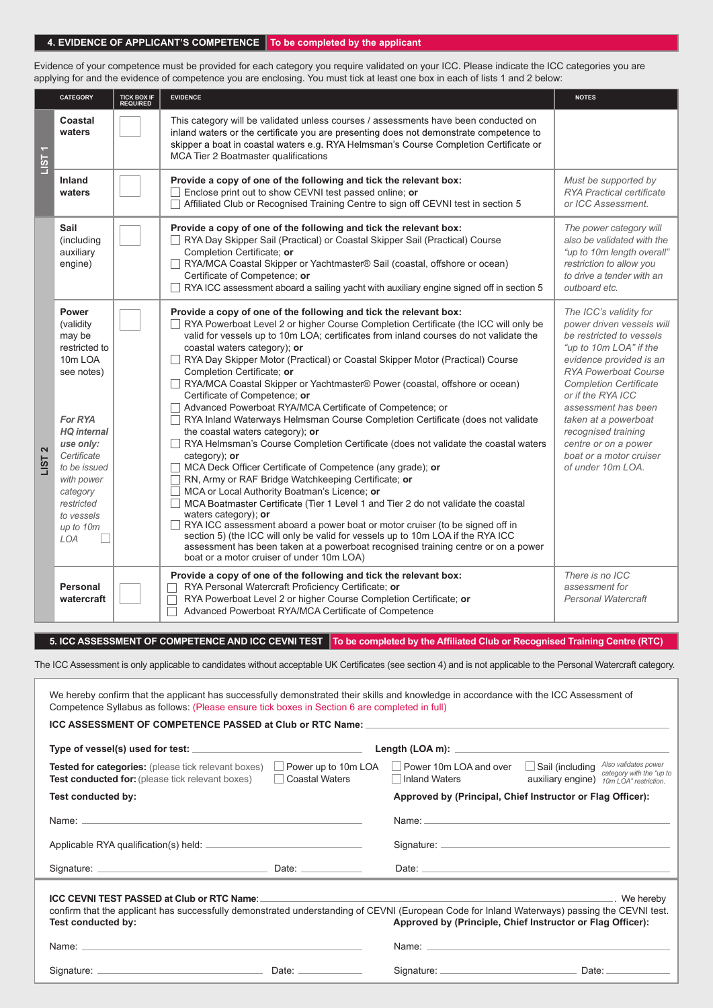#### | 4. EVIDENCE OF APPLICANT'S COMPETENCE | To be completed by the applicant

| Evidence of your competence must be provided for each category you require validated on your ICC. Please indicate the ICC categories you are<br>applying for and the evidence of competence you are enclosing. You must tick at least one box in each of lists 1 and 2 below:<br><b>CATEGORY</b><br><b>EVIDENCE</b><br>TICK BOX IF<br><b>NOTES</b><br><b>REQUIRED</b><br>Coastal<br>This category will be validated unless courses / assessments have been conducted on<br>inland waters or the certificate you are presenting does not demonstrate competence to<br>waters<br>skipper a boat in coastal waters e.g. RYA Helmsman's Course Completion Certificate or<br>$1$ ST 1<br>MCA Tier 2 Boatmaster qualifications<br>Must be supported by<br>Inland<br>Provide a copy of one of the following and tick the relevant box:<br>RYA Practical certificate<br>$\Box$ Enclose print out to show CEVNI test passed online; or<br>waters<br>□ Affiliated Club or Recognised Training Centre to sign off CEVNI test in section 5<br>or ICC Assessment.<br>Sail<br>Provide a copy of one of the following and tick the relevant box:<br>The power category will<br>(including<br>RYA Day Skipper Sail (Practical) or Coastal Skipper Sail (Practical) Course<br>also be validated with the<br>Completion Certificate; or<br>"up to 10m length overall"<br>auxiliary<br>RYA/MCA Coastal Skipper or Yachtmaster® Sail (coastal, offshore or ocean)<br>restriction to allow you<br>engine)<br>Certificate of Competence; or<br>to drive a tender with an<br>$\Box$ RYA ICC assessment aboard a sailing yacht with auxiliary engine signed off in section 5<br>outboard etc.<br>Provide a copy of one of the following and tick the relevant box:<br>The ICC's validity for<br>Power<br>RYA Powerboat Level 2 or higher Course Completion Certificate (the ICC will only be<br>power driven vessels will<br>(validity<br>valid for vessels up to 10m LOA; certificates from inland courses do not validate the<br>be restricted to vessels<br>may be<br>"up to 10m LOA" if the<br>coastal waters category); or<br>restricted to<br>RYA Day Skipper Motor (Practical) or Coastal Skipper Motor (Practical) Course<br>10m LOA<br>evidence provided is an<br>Completion Certificate: or<br><b>RYA Powerboat Course</b><br>see notes)<br>RYA/MCA Coastal Skipper or Yachtmaster® Power (coastal, offshore or ocean)<br><b>Completion Certificate</b><br>Certificate of Competence; or<br>or if the RYA ICC<br>Advanced Powerboat RYA/MCA Certificate of Competence; or<br>assessment has been<br>For RYA<br>RYA Inland Waterways Helmsman Course Completion Certificate (does not validate<br>taken at a powerboat<br><b>HQ</b> internal<br>the coastal waters category); or<br>recognised training<br>RYA Helmsman's Course Completion Certificate (does not validate the coastal waters<br>centre or on a power<br>use only:<br>$\mathbf{z}$<br>Certificate<br>boat or a motor cruiser<br>category); or<br><b>LIST</b><br>MCA Deck Officer Certificate of Competence (any grade); or<br>of under 10m LOA.<br>to be issued<br>RN, Army or RAF Bridge Watchkeeping Certificate; or<br>with power<br>MCA or Local Authority Boatman's Licence; or<br>category<br>MCA Boatmaster Certificate (Tier 1 Level 1 and Tier 2 do not validate the coastal<br>restricted<br>waters category); or<br>to vessels<br>RYA ICC assessment aboard a power boat or motor cruiser (to be signed off in<br>up to 10m<br>section 5) (the ICC will only be valid for vessels up to 10m LOA if the RYA ICC<br>LOA<br>assessment has been taken at a powerboat recognised training centre or on a power<br>boat or a motor cruiser of under 10m LOA)<br>There is no ICC<br>Provide a copy of one of the following and tick the relevant box:<br>RYA Personal Watercraft Proficiency Certificate; or<br>assessment for<br>Personal<br>RYA Powerboat Level 2 or higher Course Completion Certificate; or<br><b>Personal Watercraft</b><br>watercraft |
|-------------------------------------------------------------------------------------------------------------------------------------------------------------------------------------------------------------------------------------------------------------------------------------------------------------------------------------------------------------------------------------------------------------------------------------------------------------------------------------------------------------------------------------------------------------------------------------------------------------------------------------------------------------------------------------------------------------------------------------------------------------------------------------------------------------------------------------------------------------------------------------------------------------------------------------------------------------------------------------------------------------------------------------------------------------------------------------------------------------------------------------------------------------------------------------------------------------------------------------------------------------------------------------------------------------------------------------------------------------------------------------------------------------------------------------------------------------------------------------------------------------------------------------------------------------------------------------------------------------------------------------------------------------------------------------------------------------------------------------------------------------------------------------------------------------------------------------------------------------------------------------------------------------------------------------------------------------------------------------------------------------------------------------------------------------------------------------------------------------------------------------------------------------------------------------------------------------------------------------------------------------------------------------------------------------------------------------------------------------------------------------------------------------------------------------------------------------------------------------------------------------------------------------------------------------------------------------------------------------------------------------------------------------------------------------------------------------------------------------------------------------------------------------------------------------------------------------------------------------------------------------------------------------------------------------------------------------------------------------------------------------------------------------------------------------------------------------------------------------------------------------------------------------------------------------------------------------------------------------------------------------------------------------------------------------------------------------------------------------------------------------------------------------------------------------------------------------------------------------------------------------------------------------------------------------------------------------------------------------------------------------------------------------------------------------------------------------------------------------------------------------------------------------------------------------------------------------------------------------------------------------------------------------------------------------------------------------------------------------------------------------------|
|                                                                                                                                                                                                                                                                                                                                                                                                                                                                                                                                                                                                                                                                                                                                                                                                                                                                                                                                                                                                                                                                                                                                                                                                                                                                                                                                                                                                                                                                                                                                                                                                                                                                                                                                                                                                                                                                                                                                                                                                                                                                                                                                                                                                                                                                                                                                                                                                                                                                                                                                                                                                                                                                                                                                                                                                                                                                                                                                                                                                                                                                                                                                                                                                                                                                                                                                                                                                                                                                                                                                                                                                                                                                                                                                                                                                                                                                                                                                                                                                                   |
|                                                                                                                                                                                                                                                                                                                                                                                                                                                                                                                                                                                                                                                                                                                                                                                                                                                                                                                                                                                                                                                                                                                                                                                                                                                                                                                                                                                                                                                                                                                                                                                                                                                                                                                                                                                                                                                                                                                                                                                                                                                                                                                                                                                                                                                                                                                                                                                                                                                                                                                                                                                                                                                                                                                                                                                                                                                                                                                                                                                                                                                                                                                                                                                                                                                                                                                                                                                                                                                                                                                                                                                                                                                                                                                                                                                                                                                                                                                                                                                                                   |
|                                                                                                                                                                                                                                                                                                                                                                                                                                                                                                                                                                                                                                                                                                                                                                                                                                                                                                                                                                                                                                                                                                                                                                                                                                                                                                                                                                                                                                                                                                                                                                                                                                                                                                                                                                                                                                                                                                                                                                                                                                                                                                                                                                                                                                                                                                                                                                                                                                                                                                                                                                                                                                                                                                                                                                                                                                                                                                                                                                                                                                                                                                                                                                                                                                                                                                                                                                                                                                                                                                                                                                                                                                                                                                                                                                                                                                                                                                                                                                                                                   |
|                                                                                                                                                                                                                                                                                                                                                                                                                                                                                                                                                                                                                                                                                                                                                                                                                                                                                                                                                                                                                                                                                                                                                                                                                                                                                                                                                                                                                                                                                                                                                                                                                                                                                                                                                                                                                                                                                                                                                                                                                                                                                                                                                                                                                                                                                                                                                                                                                                                                                                                                                                                                                                                                                                                                                                                                                                                                                                                                                                                                                                                                                                                                                                                                                                                                                                                                                                                                                                                                                                                                                                                                                                                                                                                                                                                                                                                                                                                                                                                                                   |
|                                                                                                                                                                                                                                                                                                                                                                                                                                                                                                                                                                                                                                                                                                                                                                                                                                                                                                                                                                                                                                                                                                                                                                                                                                                                                                                                                                                                                                                                                                                                                                                                                                                                                                                                                                                                                                                                                                                                                                                                                                                                                                                                                                                                                                                                                                                                                                                                                                                                                                                                                                                                                                                                                                                                                                                                                                                                                                                                                                                                                                                                                                                                                                                                                                                                                                                                                                                                                                                                                                                                                                                                                                                                                                                                                                                                                                                                                                                                                                                                                   |
| Advanced Powerboat RYA/MCA Certificate of Competence                                                                                                                                                                                                                                                                                                                                                                                                                                                                                                                                                                                                                                                                                                                                                                                                                                                                                                                                                                                                                                                                                                                                                                                                                                                                                                                                                                                                                                                                                                                                                                                                                                                                                                                                                                                                                                                                                                                                                                                                                                                                                                                                                                                                                                                                                                                                                                                                                                                                                                                                                                                                                                                                                                                                                                                                                                                                                                                                                                                                                                                                                                                                                                                                                                                                                                                                                                                                                                                                                                                                                                                                                                                                                                                                                                                                                                                                                                                                                              |

#### 5. ICC ASSESSMENT OF COMPETENCE AND ICC CEVNI TEST  $\,$  To be completed by the Affiliated Club or Recognised Training Centre (RTC)  $\,$

| We hereby confirm that the applicant has successfully demonstrated their skills and knowledge in accordance with the ICC Assessment of<br>Competence Syllabus as follows: (Please ensure tick boxes in Section 6 are completed in full) |                                              |                                                                                                                                                                                                                               |                                                                                                                                                                                                                                                                                                    |
|-----------------------------------------------------------------------------------------------------------------------------------------------------------------------------------------------------------------------------------------|----------------------------------------------|-------------------------------------------------------------------------------------------------------------------------------------------------------------------------------------------------------------------------------|----------------------------------------------------------------------------------------------------------------------------------------------------------------------------------------------------------------------------------------------------------------------------------------------------|
| ICC ASSESSMENT OF COMPETENCE PASSED at Club or RTC Name:                                                                                                                                                                                |                                              |                                                                                                                                                                                                                               |                                                                                                                                                                                                                                                                                                    |
| Type of vessel(s) used for test: ___________________________________                                                                                                                                                                    |                                              |                                                                                                                                                                                                                               |                                                                                                                                                                                                                                                                                                    |
| <b>Tested for categories:</b> (please tick relevant boxes)<br><b>Test conducted for:</b> (please tick relevant boxes)                                                                                                                   | Power up to 10m LOA<br><b>Coastal Waters</b> | Power 10m LOA and over<br>Inland Waters                                                                                                                                                                                       | Also validates power<br>$\Box$ Sail (including<br>category with the "up to<br>auxiliary engine)<br>10m LOA" restriction.                                                                                                                                                                           |
| Test conducted by:                                                                                                                                                                                                                      |                                              |                                                                                                                                                                                                                               | Approved by (Principal, Chief Instructor or Flag Officer):                                                                                                                                                                                                                                         |
| Name: example and a series of the series of the series of the series of the series of the series of the series of the series of the series of the series of the series of the series of the series of the series of the series          |                                              |                                                                                                                                                                                                                               | Name: Name: All and the state of the state of the state of the state of the state of the state of the state of the state of the state of the state of the state of the state of the state of the state of the state of the sta                                                                     |
|                                                                                                                                                                                                                                         |                                              |                                                                                                                                                                                                                               |                                                                                                                                                                                                                                                                                                    |
|                                                                                                                                                                                                                                         |                                              |                                                                                                                                                                                                                               |                                                                                                                                                                                                                                                                                                    |
| <b>ICC CEVNI TEST PASSED at Club or RTC Name:</b><br>confirm that the applicant has successfully demonstrated understanding of CEVNI (European Code for Inland Waterways) passing the CEVNI test.<br>Test conducted by:                 |                                              |                                                                                                                                                                                                                               | <u>2001 - Andrea State Andrea State Andrea State Andrea State Andrea State Andrea State Andrea State Andrea State Andrea State Andrea State Andrea State Andrea State Andrea State Andrea State Andrea State Andrea State Andrea</u><br>Approved by (Principle, Chief Instructor or Flag Officer): |
| Name: will be a series of the contract of the contract of the contract of the contract of the contract of the contract of the contract of the contract of the contract of the contract of the contract of the contract of the           |                                              | Name: Name: Name: Name: Name: Name: Name: Name: Name: Name: Name: Name: Name: Name: Name: Name: Name: Name: Name: Name: Name: Name: Name: Name: Name: Name: Name: Name: Name: Name: Name: Name: Name: Name: Name: Name: Name: |                                                                                                                                                                                                                                                                                                    |
|                                                                                                                                                                                                                                         | Date: $\qquad \qquad$                        |                                                                                                                                                                                                                               | Date: $\qquad \qquad$                                                                                                                                                                                                                                                                              |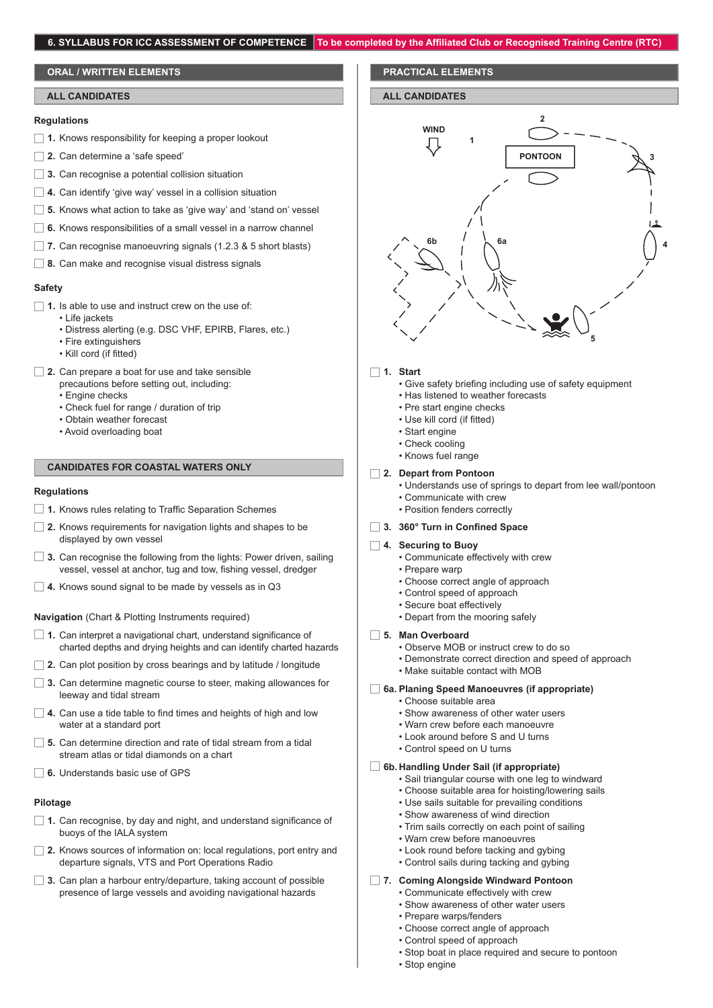## 6. SYLLABUS FOR ICC ASSESSMENT OF COMPETENCE | To be completed by the Affiliated Club or Recognised Training Centre (RTC

## **ORAL / WRITTEN ELEMENTS**

#### **ALL CANDIDATES**

#### **Regulations**

- **1.** Knows responsibility for keeping a proper lookout
- □ 2. Can determine a 'safe speed'
- **3.** Can recognise a potential collision situation
- **4.** Can identify 'give way' vessel in a collision situation
- **5.** Knows what action to take as 'give way' and 'stand on' vessel
- **6.** Knows responsibilities of a small vessel in a narrow channel
- **7.** Can recognise manoeuvring signals (1.2.3 & 5 short blasts)
- **8.** Can make and recognise visual distress signals

#### **Safety**

- 1. Is able to use and instruct crew on the use of:
	- Life jackets
	- Distress alerting (e.g. DSC VHF, EPIRB, Flares, etc.)
	- Fire extinguishers
	- Kill cord (if fitted)
- **2.** Can prepare a boat for use and take sensible
	- precautions before setting out, including:
	- Engine checks
	- Check fuel for range / duration of trip
	- Obtain weather forecast
	- Avoid overloading boat

## **CANDIDATES FOR COASTAL WATERS ONLY**

#### **Regulations**

- **1.** Knows rules relating to Traffic Separation Schemes
- **2.** Knows requirements for navigation lights and shapes to be displayed by own vessel
- **3.** Can recognise the following from the lights: Power driven, sailing vessel, vessel at anchor, tug and tow, fishing vessel, dredger
- **4.** Knows sound signal to be made by vessels as in Q3

#### **Navigation** (Chart & Plotting Instruments required)

- □ 1. Can interpret a navigational chart, understand significance of charted depths and drying heights and can identify charted hazards
- **2.** Can plot position by cross bearings and by latitude / longitude
- **3.** Can determine magnetic course to steer, making allowances for leeway and tidal stream
- **4.** Can use a tide table to find times and heights of high and low water at a standard port
- **5.** Can determine direction and rate of tidal stream from a tidal stream atlas or tidal diamonds on a chart
- □ 6. Understands basic use of GPS

#### **Pilotage**

- **1.** Can recognise, by day and night, and understand significance of buoys of the IALA system
- **2.** Knows sources of information on: local regulations, port entry and departure signals, VTS and Port Operations Radio
- **3.** Can plan a harbour entry/departure, taking account of possible presence of large vessels and avoiding navigational hazards

#### **PRACTICAL ELEMENTS**

#### **ALL CANDIDATES**



#### □ 1. Start

- Give safety briefing including use of safety equipment
- Has listened to weather forecasts
- Pre start engine checks
- Use kill cord (if fitted)
- Start engine
- Check cooling
- Knows fuel range

#### **2. Depart from Pontoon**

- Understands use of springs to depart from lee wall/pontoon
- Communicate with crew
- Position fenders correctly

#### **3. 360° Turn in Confined Space**

#### **4. Securing to Buoy**

- Communicate effectively with crew
- Prepare warp
	- Choose correct angle of approach
- Control speed of approach
- Secure boat effectively
- Depart from the mooring safely

#### **5. Man Overboard**

- Observe MOB or instruct crew to do so
- Demonstrate correct direction and speed of approach
- Make suitable contact with MOB

## **6a. Planing Speed Manoeuvres (if appropriate)**

- Choose suitable area
- Show awareness of other water users
- Warn crew before each manoeuvre
- Look around before S and U turns
- Control speed on U turns

#### **6b. Handling Under Sail (if appropriate)**

- Sail triangular course with one leg to windward
- Choose suitable area for hoisting/lowering sails
- Use sails suitable for prevailing conditions
- Show awareness of wind direction
- Trim sails correctly on each point of sailing
- Warn crew before manoeuvres
- Look round before tacking and gybing
- Control sails during tacking and gybing
- **7. Coming Alongside Windward Pontoon**
	- Communicate effectively with crew
	- Show awareness of other water users
	- Prepare warps/fenders
	- Choose correct angle of approach
	- Control speed of approach
	- Stop boat in place required and secure to pontoon
	- Stop engine